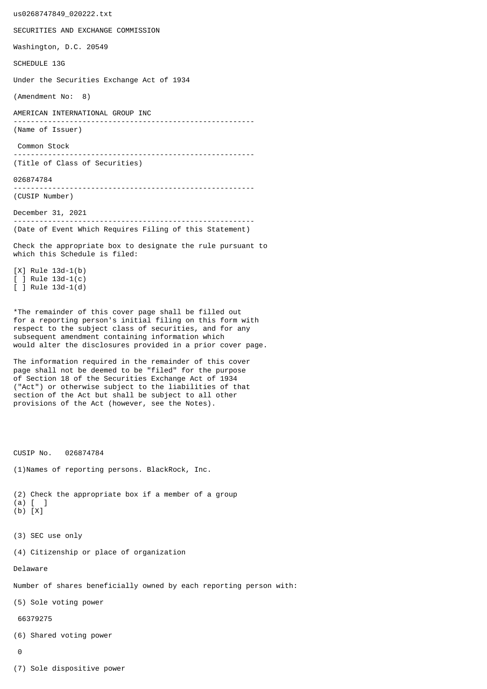us0268747849\_020222.txt SECURITIES AND EXCHANGE COMMISSION Washington, D.C. 20549 SCHEDULE 13G Under the Securities Exchange Act of 1934 (Amendment No: 8) AMERICAN INTERNATIONAL GROUP INC -------------------------------------------------------- (Name of Issuer) Common Stock -------------------------------------------------------- (Title of Class of Securities) 026874784 -------------------------------------------------------- (CUSIP Number) December 31, 2021 -------------------------------------------------------- (Date of Event Which Requires Filing of this Statement) Check the appropriate box to designate the rule pursuant to which this Schedule is filed: [X] Rule 13d-1(b) [ ] Rule 13d-1(c) [ ] Rule 13d-1(d) \*The remainder of this cover page shall be filled out for a reporting person's initial filing on this form with respect to the subject class of securities, and for any subsequent amendment containing information which would alter the disclosures provided in a prior cover page. The information required in the remainder of this cover page shall not be deemed to be "filed" for the purpose of Section 18 of the Securities Exchange Act of 1934 ("Act") or otherwise subject to the liabilities of that section of the Act but shall be subject to all other provisions of the Act (however, see the Notes). CUSIP No. 026874784 (1)Names of reporting persons. BlackRock, Inc. (2) Check the appropriate box if a member of a group (a) [ ] (b) [X] (3) SEC use only (4) Citizenship or place of organization Delaware Number of shares beneficially owned by each reporting person with: (5) Sole voting power 66379275 (6) Shared voting power  $\Omega$ 

(7) Sole dispositive power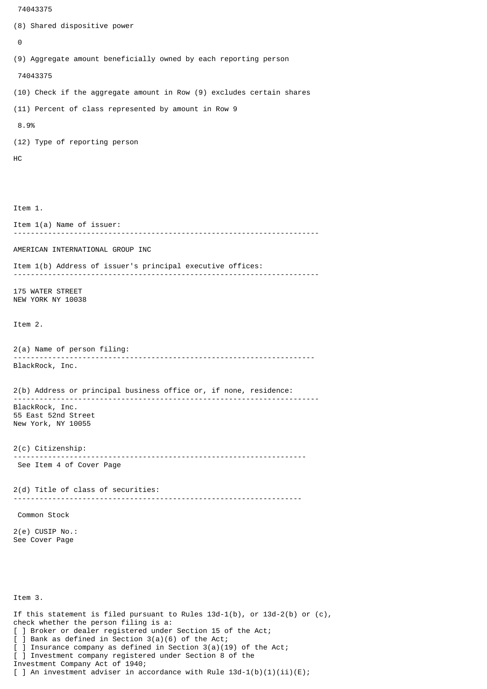```
 74043375
(8) Shared dispositive power
 \boldsymbol{\Theta}(9) Aggregate amount beneficially owned by each reporting person
  74043375
(10) Check if the aggregate amount in Row (9) excludes certain shares
(11) Percent of class represented by amount in Row 9
 8.9%
(12) Type of reporting person
HC
Item 1.
Item 1(a) Name of issuer:
           -----------------------------------------------------------------------
AMERICAN INTERNATIONAL GROUP INC
Item 1(b) Address of issuer's principal executive offices:
 -----------------------------------------------------------------------
175 WATER STREET
NEW YORK NY 10038
Item 2.
2(a) Name of person filing:
               ----------------------------------------------------------------------
BlackRock, Inc.
2(b) Address or principal business office or, if none, residence:
 -----------------------------------------------------------------------
BlackRock, Inc.
55 East 52nd Street
New York, NY 10055
2(c) Citizenship:
                            --------------------------------------------------------------------
 See Item 4 of Cover Page
2(d) Title of class of securities:
                                       -------------------------------------------------------------------
 Common Stock
2(e) CUSIP No.:
See Cover Page
Item 3.
If this statement is filed pursuant to Rules 13d-1(b), or 13d-2(b) or (c),
check whether the person filing is a:
[ ] Broker or dealer registered under Section 15 of the Act;
[ ] Bank as defined in Section 3(a)(6) of the Act;
```
] Insurance company as defined in Section  $3(a)(19)$  of the Act;

[ ] An investment adviser in accordance with Rule  $13d-1(b)(1)(ii)(E)$ ;

[ ] Investment company registered under Section 8 of the

Investment Company Act of 1940;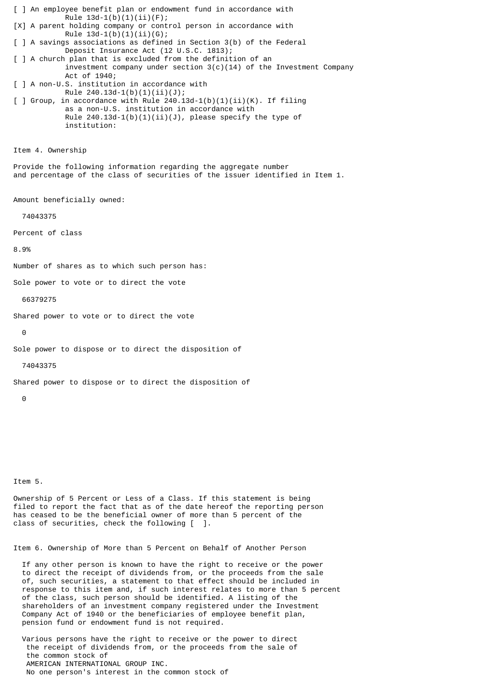[ ] An employee benefit plan or endowment fund in accordance with Rule  $13d-1(b)(1)(ii)(F);$ [X] A parent holding company or control person in accordance with Rule  $13d-1(b)(1)(ii)(G);$ [ ] A savings associations as defined in Section 3(b) of the Federal Deposit Insurance Act (12 U.S.C. 1813); [ ] A church plan that is excluded from the definition of an investment company under section  $3(c)(14)$  of the Investment Company Act of 1940; [ ] A non-U.S. institution in accordance with Rule 240.13d-1(b)(1)(ii)(J);  $\lceil$  ] Group, in accordance with Rule 240.13d-1(b)(1)(ii)(K). If filing as a non-U.S. institution in accordance with Rule  $240.13d-1(b)(1)(ii)(J)$ , please specify the type of institution: Item 4. Ownership Provide the following information regarding the aggregate number and percentage of the class of securities of the issuer identified in Item 1. Amount beneficially owned: 74043375 Percent of class 8.9% Number of shares as to which such person has: Sole power to vote or to direct the vote 66379275 Shared power to vote or to direct the vote  $\Theta$ Sole power to dispose or to direct the disposition of 74043375

Shared power to dispose or to direct the disposition of

 $\Omega$ 

Item 5.

Ownership of 5 Percent or Less of a Class. If this statement is being filed to report the fact that as of the date hereof the reporting person has ceased to be the beneficial owner of more than 5 percent of the class of securities, check the following [ ].

Item 6. Ownership of More than 5 Percent on Behalf of Another Person

 If any other person is known to have the right to receive or the power to direct the receipt of dividends from, or the proceeds from the sale of, such securities, a statement to that effect should be included in response to this item and, if such interest relates to more than 5 percent of the class, such person should be identified. A listing of the shareholders of an investment company registered under the Investment Company Act of 1940 or the beneficiaries of employee benefit plan, pension fund or endowment fund is not required.

 Various persons have the right to receive or the power to direct the receipt of dividends from, or the proceeds from the sale of the common stock of AMERICAN INTERNATIONAL GROUP INC. No one person's interest in the common stock of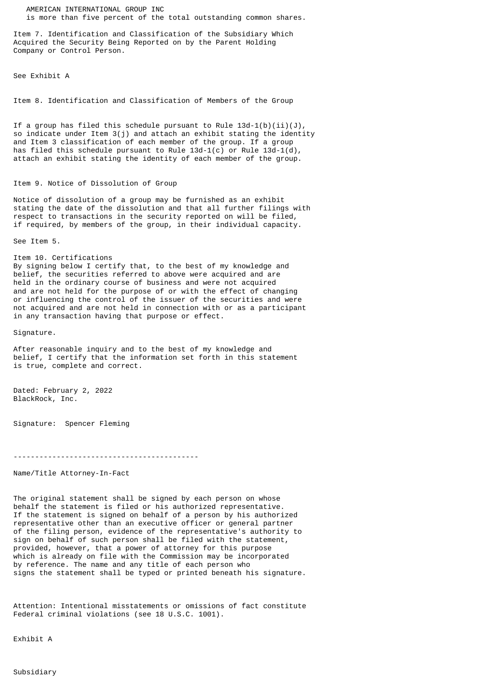AMERICAN INTERNATIONAL GROUP INC is more than five percent of the total outstanding common shares.

Item 7. Identification and Classification of the Subsidiary Which Acquired the Security Being Reported on by the Parent Holding Company or Control Person.

See Exhibit A

Item 8. Identification and Classification of Members of the Group

If a group has filed this schedule pursuant to Rule  $13d-1(b)(ii)(J)$ , so indicate under Item 3(j) and attach an exhibit stating the identity and Item 3 classification of each member of the group. If a group has filed this schedule pursuant to Rule  $13d-1(c)$  or Rule  $13d-1(d)$ , attach an exhibit stating the identity of each member of the group.

## Item 9. Notice of Dissolution of Group

Notice of dissolution of a group may be furnished as an exhibit stating the date of the dissolution and that all further filings with respect to transactions in the security reported on will be filed, if required, by members of the group, in their individual capacity.

See Item 5.

Item 10. Certifications By signing below I certify that, to the best of my knowledge and belief, the securities referred to above were acquired and are held in the ordinary course of business and were not acquired and are not held for the purpose of or with the effect of changing or influencing the control of the issuer of the securities and were not acquired and are not held in connection with or as a participant in any transaction having that purpose or effect.

Signature.

After reasonable inquiry and to the best of my knowledge and belief, I certify that the information set forth in this statement is true, complete and correct.

Dated: February 2, 2022 BlackRock, Inc.

Signature: Spencer Fleming

-------------------------------------------

Name/Title Attorney-In-Fact

The original statement shall be signed by each person on whose behalf the statement is filed or his authorized representative. If the statement is signed on behalf of a person by his authorized representative other than an executive officer or general partner of the filing person, evidence of the representative's authority to sign on behalf of such person shall be filed with the statement, provided, however, that a power of attorney for this purpose which is already on file with the Commission may be incorporated by reference. The name and any title of each person who signs the statement shall be typed or printed beneath his signature.

Attention: Intentional misstatements or omissions of fact constitute Federal criminal violations (see 18 U.S.C. 1001).

Exhibit A